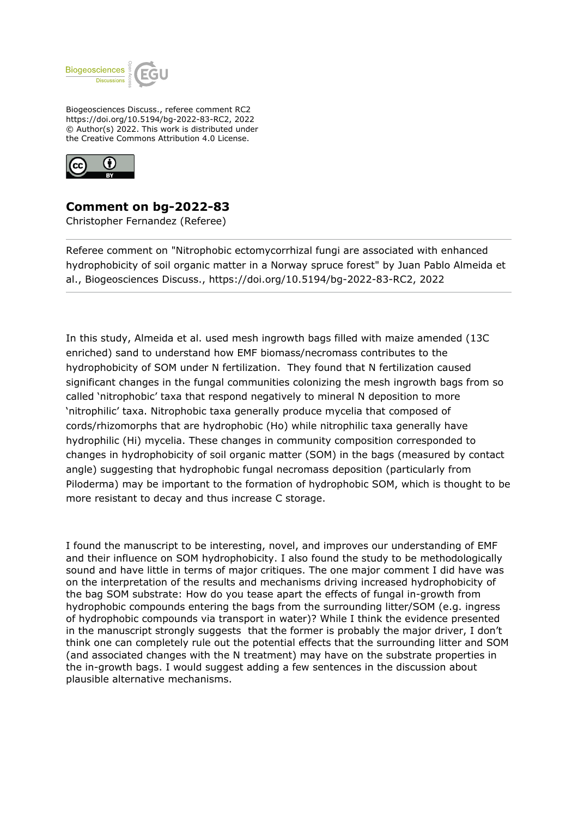

Biogeosciences Discuss., referee comment RC2 https://doi.org/10.5194/bg-2022-83-RC2, 2022 © Author(s) 2022. This work is distributed under the Creative Commons Attribution 4.0 License.



**Comment on bg-2022-83**

Christopher Fernandez (Referee)

Referee comment on "Nitrophobic ectomycorrhizal fungi are associated with enhanced hydrophobicity of soil organic matter in a Norway spruce forest" by Juan Pablo Almeida et al., Biogeosciences Discuss., https://doi.org/10.5194/bg-2022-83-RC2, 2022

In this study, Almeida et al. used mesh ingrowth bags filled with maize amended (13C enriched) sand to understand how EMF biomass/necromass contributes to the hydrophobicity of SOM under N fertilization. They found that N fertilization caused significant changes in the fungal communities colonizing the mesh ingrowth bags from so called 'nitrophobic' taxa that respond negatively to mineral N deposition to more 'nitrophilic' taxa. Nitrophobic taxa generally produce mycelia that composed of cords/rhizomorphs that are hydrophobic (Ho) while nitrophilic taxa generally have hydrophilic (Hi) mycelia. These changes in community composition corresponded to changes in hydrophobicity of soil organic matter (SOM) in the bags (measured by contact angle) suggesting that hydrophobic fungal necromass deposition (particularly from Piloderma) may be important to the formation of hydrophobic SOM, which is thought to be more resistant to decay and thus increase C storage.

I found the manuscript to be interesting, novel, and improves our understanding of EMF and their influence on SOM hydrophobicity. I also found the study to be methodologically sound and have little in terms of major critiques. The one major comment I did have was on the interpretation of the results and mechanisms driving increased hydrophobicity of the bag SOM substrate: How do you tease apart the effects of fungal in-growth from hydrophobic compounds entering the bags from the surrounding litter/SOM (e.g. ingress of hydrophobic compounds via transport in water)? While I think the evidence presented in the manuscript strongly suggests that the former is probably the major driver, I don't think one can completely rule out the potential effects that the surrounding litter and SOM (and associated changes with the N treatment) may have on the substrate properties in the in-growth bags. I would suggest adding a few sentences in the discussion about plausible alternative mechanisms.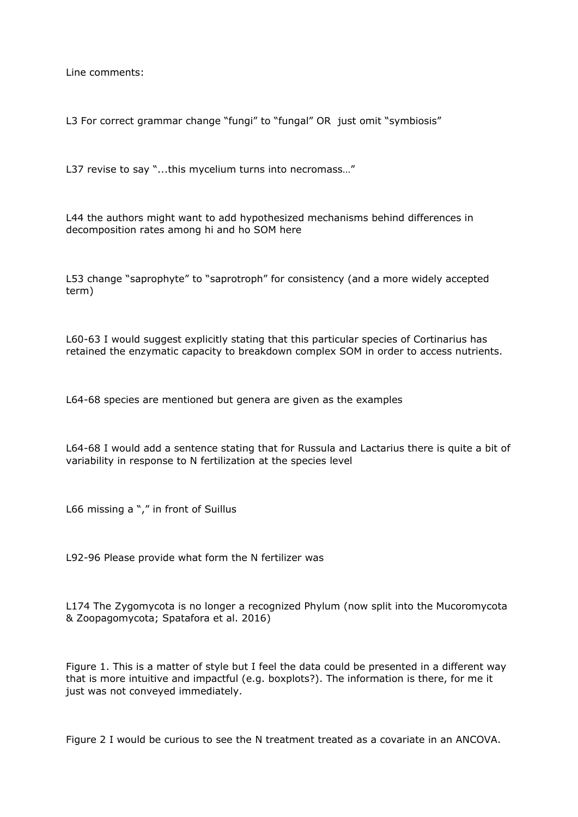Line comments:

L3 For correct grammar change "fungi" to "fungal" OR just omit "symbiosis"

L37 revise to say "...this mycelium turns into necromass..."

L44 the authors might want to add hypothesized mechanisms behind differences in decomposition rates among hi and ho SOM here

L53 change "saprophyte" to "saprotroph" for consistency (and a more widely accepted term)

L60-63 I would suggest explicitly stating that this particular species of Cortinarius has retained the enzymatic capacity to breakdown complex SOM in order to access nutrients.

L64-68 species are mentioned but genera are given as the examples

L64-68 I would add a sentence stating that for Russula and Lactarius there is quite a bit of variability in response to N fertilization at the species level

L66 missing a "," in front of Suillus

L92-96 Please provide what form the N fertilizer was

L174 The Zygomycota is no longer a recognized Phylum (now split into the Mucoromycota & Zoopagomycota; Spatafora et al. 2016)

Figure 1. This is a matter of style but I feel the data could be presented in a different way that is more intuitive and impactful (e.g. boxplots?). The information is there, for me it just was not conveyed immediately.

Figure 2 I would be curious to see the N treatment treated as a covariate in an ANCOVA.